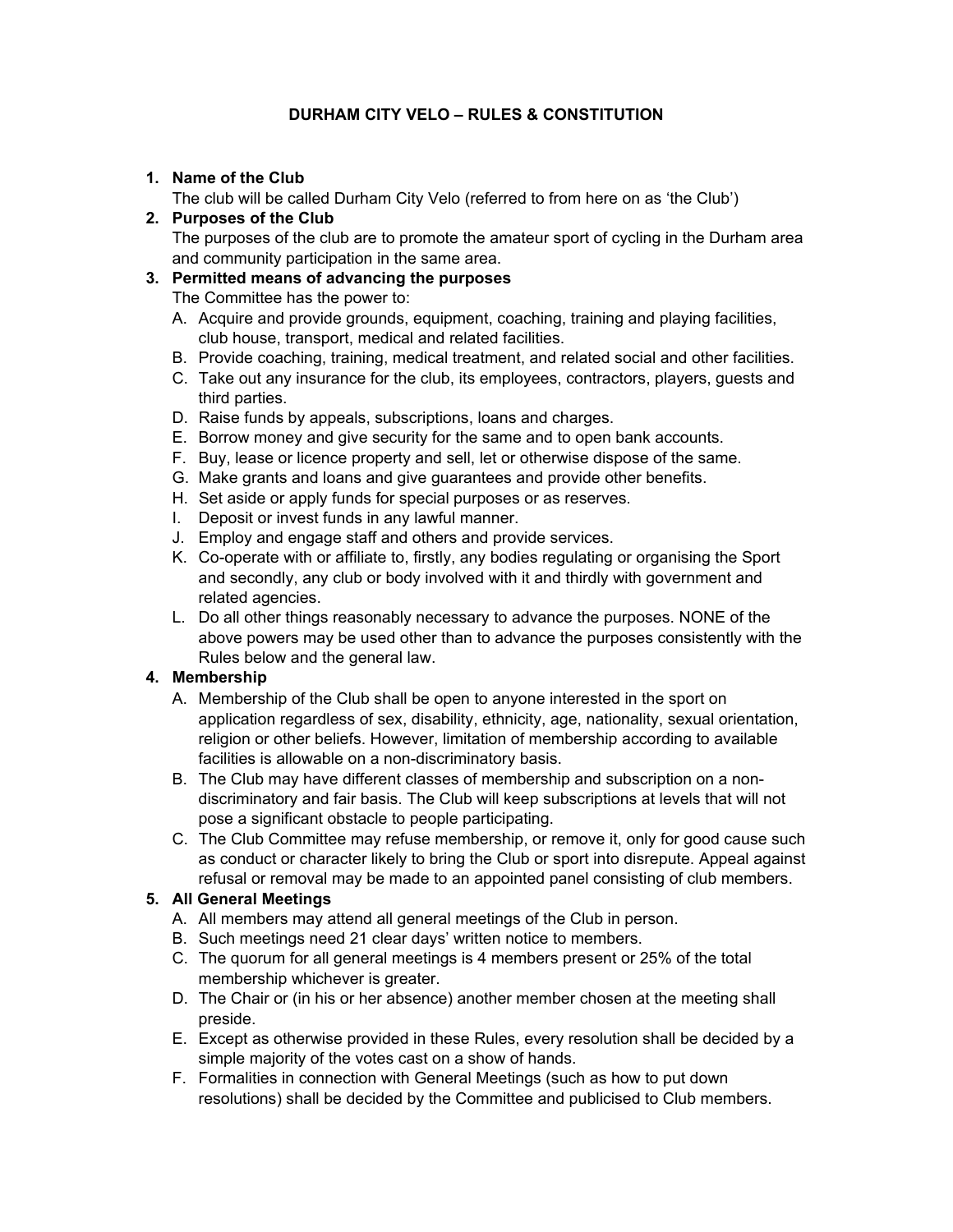# **DURHAM CITY VELO – RULES & CONSTITUTION**

### **1. Name of the Club**

The club will be called Durham City Velo (referred to from here on as 'the Club')

### **2. Purposes of the Club**

The purposes of the club are to promote the amateur sport of cycling in the Durham area and community participation in the same area.

### **3. Permitted means of advancing the purposes**

The Committee has the power to:

- A. Acquire and provide grounds, equipment, coaching, training and playing facilities, club house, transport, medical and related facilities.
- B. Provide coaching, training, medical treatment, and related social and other facilities.
- C. Take out any insurance for the club, its employees, contractors, players, guests and third parties.
- D. Raise funds by appeals, subscriptions, loans and charges.
- E. Borrow money and give security for the same and to open bank accounts.
- F. Buy, lease or licence property and sell, let or otherwise dispose of the same.
- G. Make grants and loans and give guarantees and provide other benefits.
- H. Set aside or apply funds for special purposes or as reserves.
- I. Deposit or invest funds in any lawful manner.
- J. Employ and engage staff and others and provide services.
- K. Co-operate with or affiliate to, firstly, any bodies regulating or organising the Sport and secondly, any club or body involved with it and thirdly with government and related agencies.
- L. Do all other things reasonably necessary to advance the purposes. NONE of the above powers may be used other than to advance the purposes consistently with the Rules below and the general law.

# **4. Membership**

- A. Membership of the Club shall be open to anyone interested in the sport on application regardless of sex, disability, ethnicity, age, nationality, sexual orientation, religion or other beliefs. However, limitation of membership according to available facilities is allowable on a non-discriminatory basis.
- B. The Club may have different classes of membership and subscription on a nondiscriminatory and fair basis. The Club will keep subscriptions at levels that will not pose a significant obstacle to people participating.
- C. The Club Committee may refuse membership, or remove it, only for good cause such as conduct or character likely to bring the Club or sport into disrepute. Appeal against refusal or removal may be made to an appointed panel consisting of club members.

# **5. All General Meetings**

- A. All members may attend all general meetings of the Club in person.
- B. Such meetings need 21 clear days' written notice to members.
- C. The quorum for all general meetings is 4 members present or 25% of the total membership whichever is greater.
- D. The Chair or (in his or her absence) another member chosen at the meeting shall preside.
- E. Except as otherwise provided in these Rules, every resolution shall be decided by a simple majority of the votes cast on a show of hands.
- F. Formalities in connection with General Meetings (such as how to put down resolutions) shall be decided by the Committee and publicised to Club members.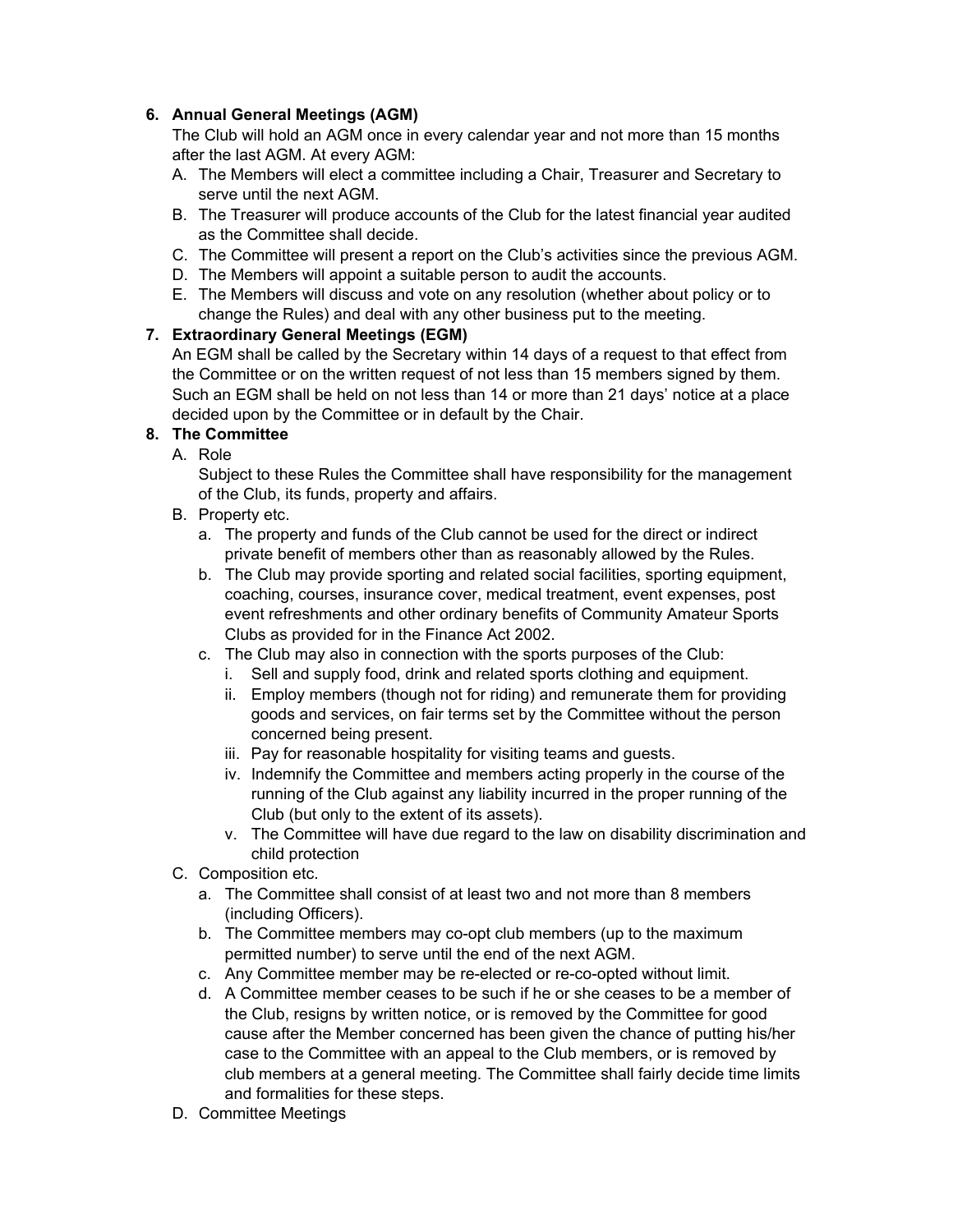# **6. Annual General Meetings (AGM)**

The Club will hold an AGM once in every calendar year and not more than 15 months after the last AGM. At every AGM:

- A. The Members will elect a committee including a Chair, Treasurer and Secretary to serve until the next AGM.
- B. The Treasurer will produce accounts of the Club for the latest financial year audited as the Committee shall decide.
- C. The Committee will present a report on the Club's activities since the previous AGM.
- D. The Members will appoint a suitable person to audit the accounts.
- E. The Members will discuss and vote on any resolution (whether about policy or to change the Rules) and deal with any other business put to the meeting.

# **7. Extraordinary General Meetings (EGM)**

An EGM shall be called by the Secretary within 14 days of a request to that effect from the Committee or on the written request of not less than 15 members signed by them. Such an EGM shall be held on not less than 14 or more than 21 days' notice at a place decided upon by the Committee or in default by the Chair.

# **8. The Committee**

A. Role

Subject to these Rules the Committee shall have responsibility for the management of the Club, its funds, property and affairs.

- B. Property etc.
	- a. The property and funds of the Club cannot be used for the direct or indirect private benefit of members other than as reasonably allowed by the Rules.
	- b. The Club may provide sporting and related social facilities, sporting equipment, coaching, courses, insurance cover, medical treatment, event expenses, post event refreshments and other ordinary benefits of Community Amateur Sports Clubs as provided for in the Finance Act 2002.
	- c. The Club may also in connection with the sports purposes of the Club:
		- i. Sell and supply food, drink and related sports clothing and equipment.
		- ii. Employ members (though not for riding) and remunerate them for providing goods and services, on fair terms set by the Committee without the person concerned being present.
		- iii. Pay for reasonable hospitality for visiting teams and guests.
		- iv. Indemnify the Committee and members acting properly in the course of the running of the Club against any liability incurred in the proper running of the Club (but only to the extent of its assets).
		- v. The Committee will have due regard to the law on disability discrimination and child protection
- C. Composition etc.
	- a. The Committee shall consist of at least two and not more than 8 members (including Officers).
	- b. The Committee members may co-opt club members (up to the maximum permitted number) to serve until the end of the next AGM.
	- c. Any Committee member may be re-elected or re-co-opted without limit.
	- d. A Committee member ceases to be such if he or she ceases to be a member of the Club, resigns by written notice, or is removed by the Committee for good cause after the Member concerned has been given the chance of putting his/her case to the Committee with an appeal to the Club members, or is removed by club members at a general meeting. The Committee shall fairly decide time limits and formalities for these steps.
- D. Committee Meetings